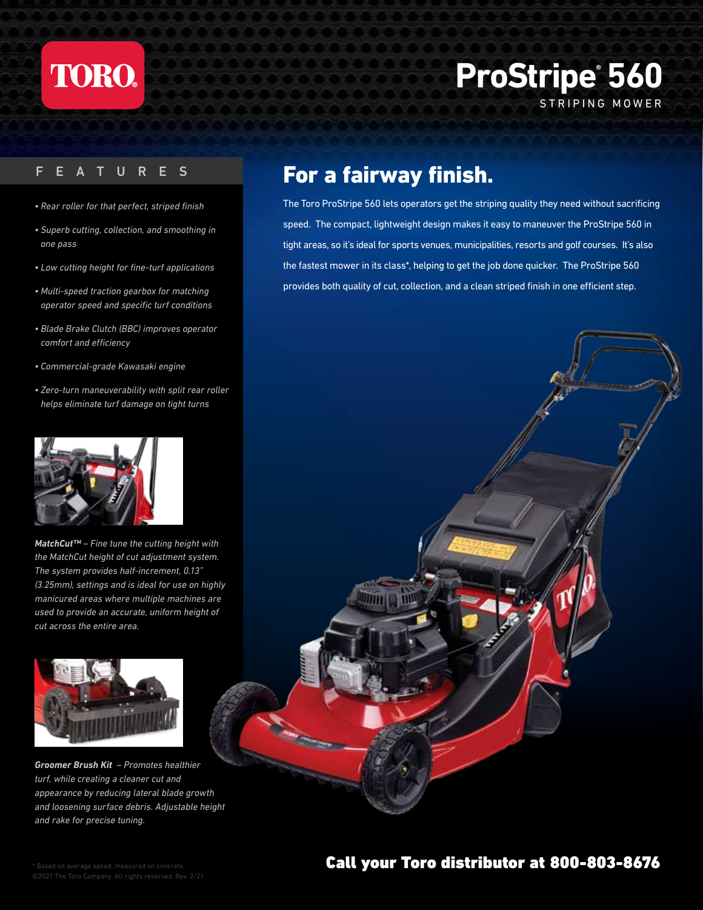

## **ProStripe® 560** STRIPING MOWER

- *Rear roller for that perfect, striped finish*
- *Superb cutting, collection, and smoothing in one pass*
- *Low cutting height for fine-turf applications*
- *Multi-speed traction gearbox for matching operator speed and specific turf conditions*
- *Blade Brake Clutch (BBC) improves operator comfort and efficiency*
- *Commercial-grade Kawasaki engine*
- *Zero-turn maneuverability with split rear roller helps eliminate turf damage on tight turns*



*MatchCut™ – Fine tune the cutting height with the MatchCut height of cut adjustment system. The system provides half-increment, 0.13" (3.25mm), settings and is ideal for use on highly manicured areas where multiple machines are used to provide an accurate, uniform height of cut across the entire area.* 



*Groomer Brush Kit – Promotes healthier turf, while creating a cleaner cut and appearance by reducing lateral blade growth and loosening surface debris. Adjustable height and rake for precise tuning.*

### FEATURES **FOR a fairway finish.**

The Toro ProStripe 560 lets operators get the striping quality they need without sacrificing speed. The compact, lightweight design makes it easy to maneuver the ProStripe 560 in tight areas, so it's ideal for sports venues, municipalities, resorts and golf courses. It's also the fastest mower in its class\*, helping to get the job done quicker. The ProStripe 560 provides both quality of cut, collection, and a clean striped finish in one efficient step.



#### Call your Toro distributor at 800-803-8676